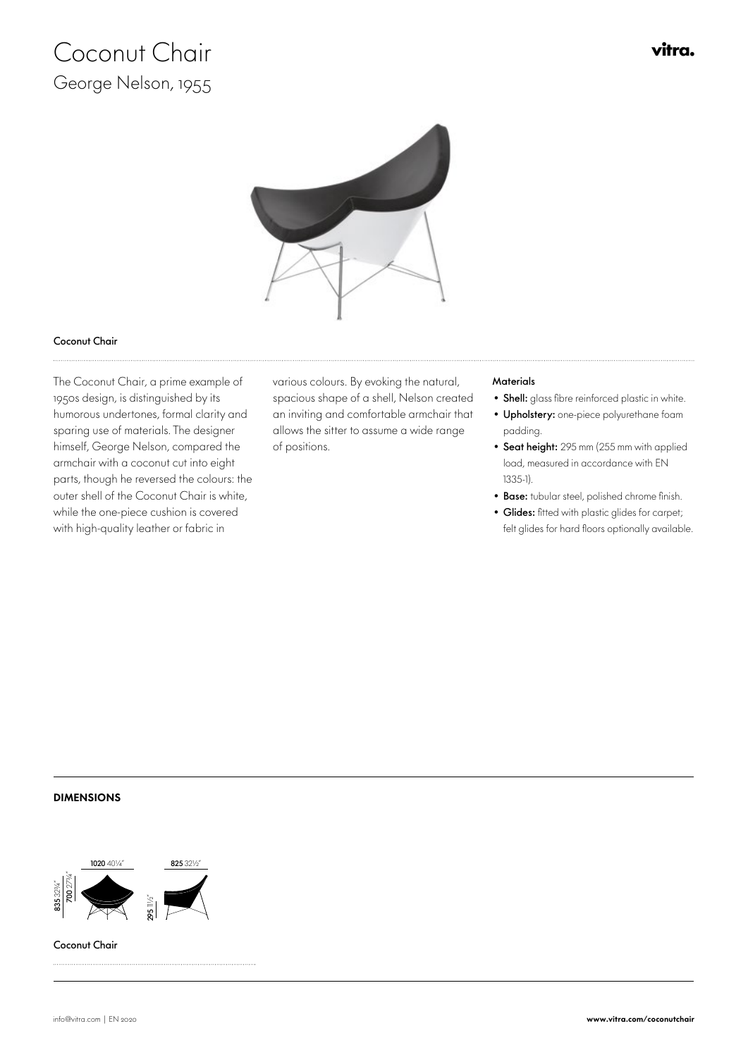# Coconut Chair George Nelson, 1955



### Coconut Chair

 The Coconut Chair, a prime example of 1950s design, is distinguished by its humorous undertones, formal clarity and sparing use of materials. The designer himself, George Nelson, compared the armchair with a coconut cut into eight parts, though he reversed the colours: the outer shell of the Coconut Chair is white, while the one-piece cushion is covered with high-quality leather or fabric in

various colours. By evoking the natural, Materials spacious shape of a shell, Nelson created an inviting and comfortable armchair that allows the sitter to assume a wide range of positions.

- Shell: glass fibre reinforced plastic in white.
- Upholstery: one-piece polyurethane foam padding.
- Seat height: 295 mm (255 mm with applied load, measured in accordance with EN 1335-1).
- Base: tubular steel, polished chrome finish.
- Glides: fitted with plastic glides for carpet; felt glides for hard floors optionally available.

#### DIMENSIONS



Coconut Chair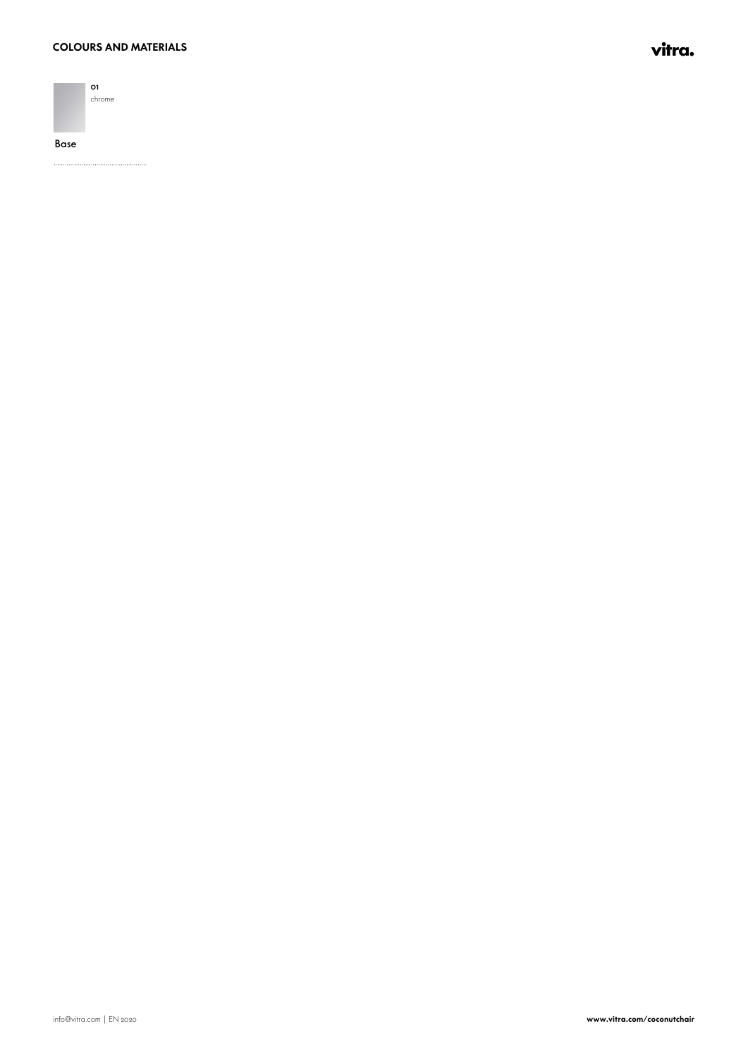#### **COLOURS AND MATERIALS**



Base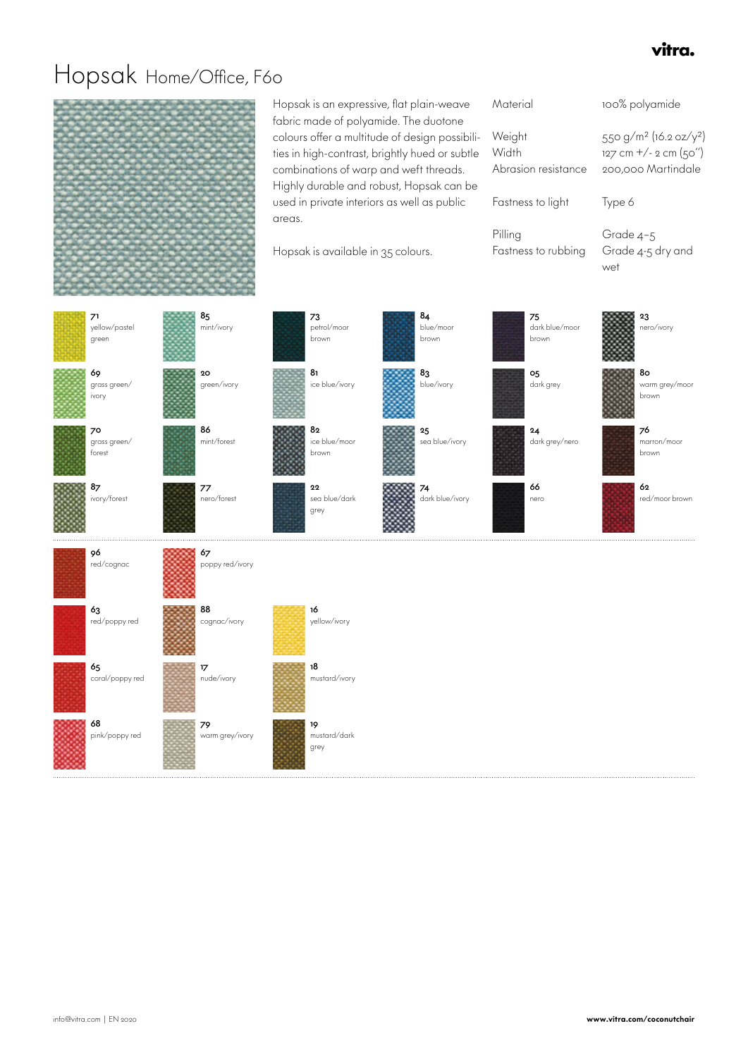### vitra.

### Hopsak Home/Office, F60

Hopsak is an expressive, flat plain-weave fabric made of polyamide. The duotone colours offer a multitude of design possibilities in high-contrast, brightly hued or subtle combinations of warp and weft threads. Highly durable and robust, Hopsak can be used in private interiors as well as public areas. Weight Width

Hopsak is available in 35 colours.

| Material                               | 100% polyamide                                                                                       |
|----------------------------------------|------------------------------------------------------------------------------------------------------|
| Weight<br>Width<br>Abrasion resistance | 550 g/m <sup>2</sup> (16.2 oz/y <sup>2</sup> )<br>$127$ cm $+/- 2$ cm $(50'')$<br>200.000 Martindale |
| Fastness to light                      | Type 6                                                                                               |
| Pilling<br>Fastness to rubbing         | Grade 4-5<br>Grade 4-5 dry and<br>wet                                                                |
|                                        |                                                                                                      |

| 71<br>yellow/pastel<br>green    | 85<br>mint/ivory      | 73<br>petrol/moor<br>brown          | 84<br>blue/moor<br>brown | 75<br>dark blue/moor<br>brown | 23<br>nero/ivory              |
|---------------------------------|-----------------------|-------------------------------------|--------------------------|-------------------------------|-------------------------------|
| 69<br>grass green/<br>ivory     | 20<br>green/ivory     | 8 <sub>1</sub><br>ice blue/ivory    | 83<br>blue/ivory         | 05<br>dark grey               | 80<br>warm grey/moor<br>brown |
| 70<br>$grass\,green/$<br>forest | 86<br>mint/forest     | 82<br>ice blue/moor<br>brown        | 25<br>sea blue/ivory     | 24<br>dark grey/nero          | 76<br>marron/moor<br>brown    |
| 87<br>ivory/forest              | 77<br>nero/forest     | ${\bf 22}$<br>sea blue/dark<br>grey | 74<br>dark blue/ivory    | 66<br>nero                    | 62<br>red/moor brown          |
| 96<br>red/cognac                | 67<br>poppy red/ivory |                                     |                          |                               |                               |
| 63<br>red/poppy red             | 88<br>cognac/ivory    | 16<br>yellow/ivory                  |                          |                               |                               |
| 65<br>coral/poppy red           | 17<br>nude/ivory      | 18<br>mustard/ivory                 |                          |                               |                               |
|                                 |                       |                                     |                          |                               |                               |